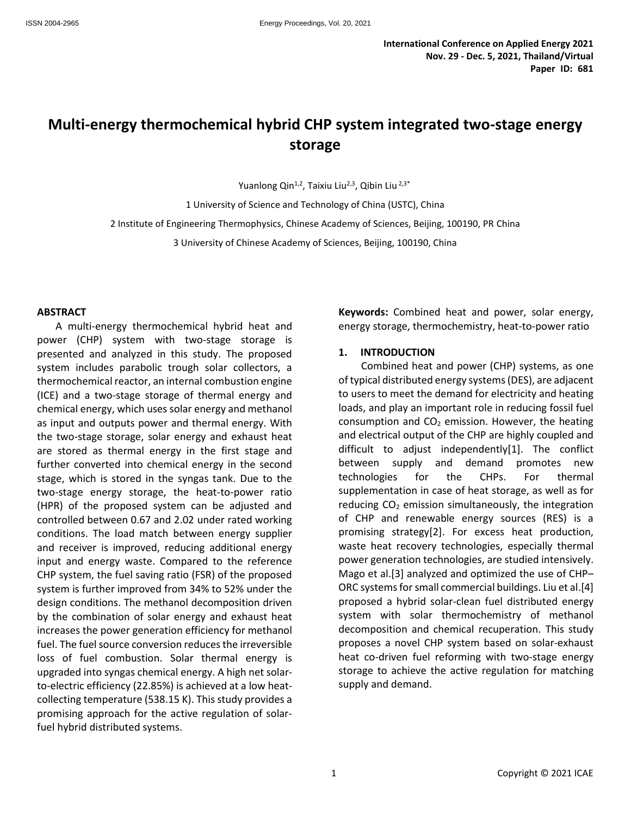# **Multi-energy thermochemical hybrid CHP system integrated two-stage energy storage**

Yuanlong Qin<sup>1,2</sup>, Taixiu Liu<sup>2,3</sup>, Qibin Liu<sup>2,3\*</sup>

1 University of Science and Technology of China (USTC), China 2 Institute of Engineering Thermophysics, Chinese Academy of Sciences, Beijing, 100190, PR China

3 University of Chinese Academy of Sciences, Beijing, 100190, China

#### **ABSTRACT**

A multi-energy thermochemical hybrid heat and power (CHP) system with two-stage storage is presented and analyzed in this study. The proposed system includes parabolic trough solar collectors, a thermochemical reactor, an internal combustion engine (ICE) and a two-stage storage of thermal energy and chemical energy, which uses solar energy and methanol as input and outputs power and thermal energy. With the two-stage storage, solar energy and exhaust heat are stored as thermal energy in the first stage and further converted into chemical energy in the second stage, which is stored in the syngas tank. Due to the two-stage energy storage, the heat-to-power ratio (HPR) of the proposed system can be adjusted and controlled between 0.67 and 2.02 under rated working conditions. The load match between energy supplier and receiver is improved, reducing additional energy input and energy waste. Compared to the reference CHP system, the fuel saving ratio (FSR) of the proposed system is further improved from 34% to 52% under the design conditions. The methanol decomposition driven by the combination of solar energy and exhaust heat increases the power generation efficiency for methanol fuel. The fuel source conversion reduces the irreversible loss of fuel combustion. Solar thermal energy is upgraded into syngas chemical energy. A high net solarto-electric efficiency (22.85%) is achieved at a low heatcollecting temperature (538.15 K). This study provides a promising approach for the active regulation of solarfuel hybrid distributed systems.

**Keywords:** Combined heat and power, solar energy, energy storage, thermochemistry, heat-to-power ratio

## **1. INTRODUCTION**

Combined heat and power (CHP) systems, as one of typical distributed energy systems (DES), are adjacent to users to meet the demand for electricity and heating loads, and play an important role in reducing fossil fuel consumption and  $CO<sub>2</sub>$  emission. However, the heating and electrical output of the CHP are highly coupled and difficult to adjust independently[1]. The conflict between supply and demand promotes new technologies for the CHPs. For thermal supplementation in case of heat storage, as well as for reducing  $CO<sub>2</sub>$  emission simultaneously, the integration of CHP and renewable energy sources (RES) is a promising strategy[2]. For excess heat production, waste heat recovery technologies, especially thermal power generation technologies, are studied intensively. Mago et al.[3] analyzed and optimized the use of CHP– ORC systems for small commercial buildings. Liu et al.[4] proposed a hybrid solar-clean fuel distributed energy system with solar thermochemistry of methanol decomposition and chemical recuperation. This study proposes a novel CHP system based on solar-exhaust heat co-driven fuel reforming with two-stage energy storage to achieve the active regulation for matching supply and demand.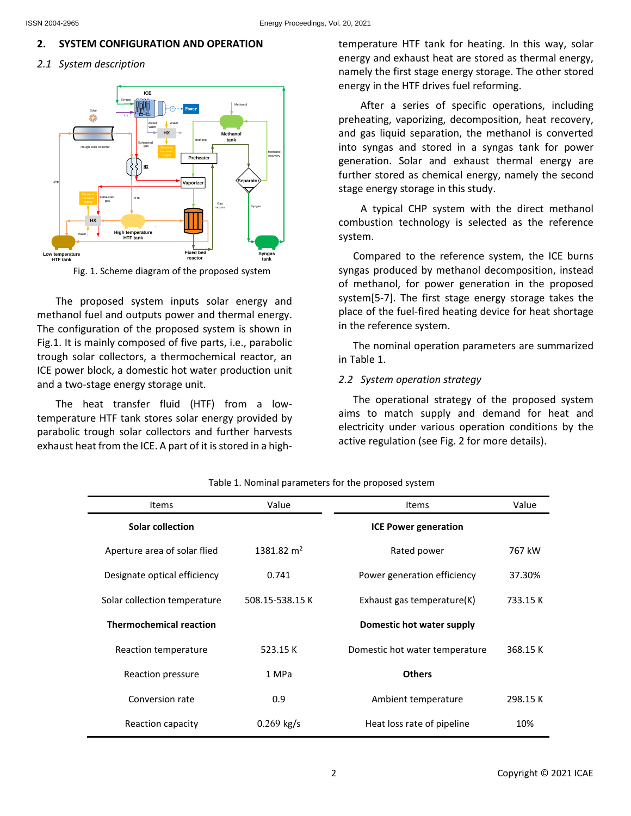# **2. SYSTEM CONFIGURATION AND OPERATION**

*2.1 System description*



Fig. 1. Scheme diagram of the proposed system

The proposed system inputs solar energy and methanol fuel and outputs power and thermal energy. The configuration of the proposed system is shown in Fig.1. It is mainly composed of five parts, i.e., parabolic trough solar collectors, a thermochemical reactor, an ICE power block, a domestic hot water production unit and a two-stage energy storage unit.

The heat transfer fluid (HTF) from a lowtemperature HTF tank stores solar energy provided by parabolic trough solar collectors and further harvests exhaust heat from the ICE. A part of it is stored in a hightemperature HTF tank for heating. In this way, solar energy and exhaust heat are stored as thermal energy, namely the first stage energy storage. The other stored energy in the HTF drives fuel reforming.

After a series of specific operations, including preheating, vaporizing, decomposition, heat recovery, and gas liquid separation, the methanol is converted into syngas and stored in a syngas tank for power generation. Solar and exhaust thermal energy are further stored as chemical energy, namely the second stage energy storage in this study.

A typical CHP system with the direct methanol combustion technology is selected as the reference system.

Compared to the reference system, the ICE burns syngas produced by methanol decomposition, instead of methanol, for power generation in the proposed system[5-7]. The first stage energy storage takes the place of the fuel-fired heating device for heat shortage in the reference system.

The nominal operation parameters are summarized in Table 1.

# *2.2 System operation strategy*

The operational strategy of the proposed system aims to match supply and demand for heat and electricity under various operation conditions by the active regulation (see Fig. 2 for more details).

| <b>Items</b>                   | Value                  | <b>Items</b>                   | Value    |
|--------------------------------|------------------------|--------------------------------|----------|
| Solar collection               |                        | <b>ICE Power generation</b>    |          |
| Aperture area of solar flied   | 1381.82 m <sup>2</sup> | Rated power                    | 767 kW   |
| Designate optical efficiency   | 0.741                  | Power generation efficiency    | 37.30%   |
| Solar collection temperature   | 508.15-538.15 K        | Exhaust gas temperature(K)     | 733.15 K |
| <b>Thermochemical reaction</b> |                        | Domestic hot water supply      |          |
| Reaction temperature           | 523.15 K               | Domestic hot water temperature | 368.15 K |
| Reaction pressure              | 1 MPa                  | <b>Others</b>                  |          |
| Conversion rate                | 0.9                    | Ambient temperature            | 298.15 K |
| Reaction capacity              | $0.269$ kg/s           | Heat loss rate of pipeline     | 10%      |

#### Table 1. Nominal parameters for the proposed system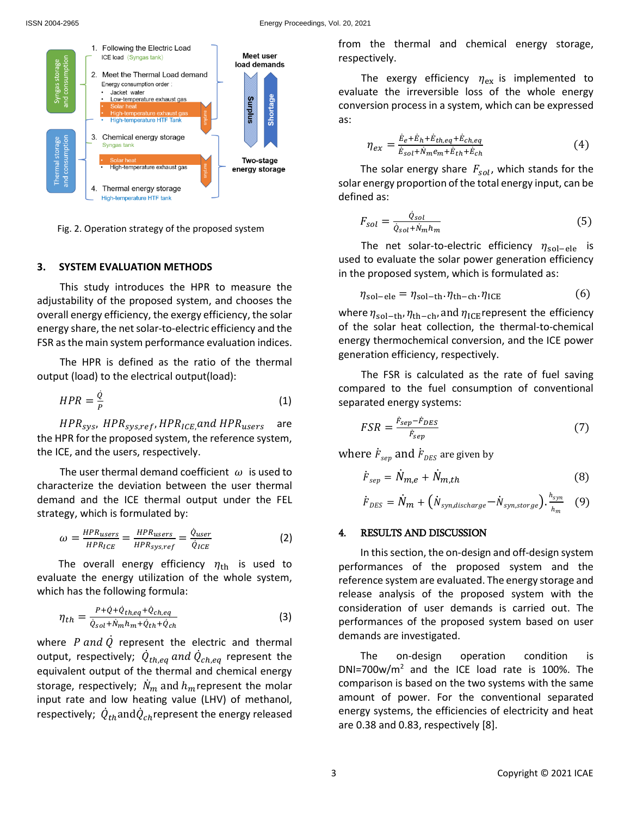

Fig. 2. Operation strategy of the proposed system

#### **3. SYSTEM EVALUATION METHODS**

This study introduces the HPR to measure the adjustability of the proposed system, and chooses the overall energy efficiency, the exergy efficiency, the solar energy share, the net solar-to-electric efficiency and the FSR as the main system performance evaluation indices.

The HPR is defined as the ratio of the thermal output (load) to the electrical output(load):

$$
HPR = \frac{\dot{Q}}{P}
$$
 (1)

 $HPR_{sys}$ ,  $HPR_{sys,ref}$ ,  $HPR_{ICE}$ , and  $HPR_{users}$  are the HPR for the proposed system, the reference system, the ICE, and the users, respectively.

The user thermal demand coefficient  $\omega$  is used to characterize the deviation between the user thermal demand and the ICE thermal output under the FEL strategy, which is formulated by:

$$
\omega = \frac{HPR_{users}}{HPR_{ICE}} = \frac{HPR_{users}}{HPR_{sys,ref}} = \frac{\dot{Q}_{user}}{\dot{Q}_{ICE}}
$$
(2)

The overall energy efficiency  $\eta_{\text{th}}$  is used to evaluate the energy utilization of the whole system, which has the following formula:

$$
\eta_{th} = \frac{P + \dot{Q} + \dot{Q}_{th,eq} + \dot{Q}_{ch,eq}}{\dot{Q}_{sol} + \dot{N}_m h_m + \dot{Q}_{th} + \dot{Q}_{ch}}
$$
(3)

where  $P$  and  $\dot{Q}$  represent the electric and thermal output, respectively;  $\dot{Q}_{th,eq}$  and  $\dot{Q}_{ch,eq}$  represent the equivalent output of the thermal and chemical energy storage, respectively;  $\dot{N}_m$  and  $h_m$  represent the molar input rate and low heating value (LHV) of methanol, respectively;  $\dot{Q}_{th}$ and $\dot{Q}_{ch}$ represent the energy released from the thermal and chemical energy storage, respectively.

The exergy efficiency  $\eta_{\text{ex}}$  is implemented to evaluate the irreversible loss of the whole energy conversion process in a system, which can be expressed as:

$$
\eta_{ex} = \frac{\dot{E}_e + \dot{E}_h + \dot{E}_{th,eq} + \dot{E}_{ch,eq}}{\dot{E}_{sol} + \dot{N}_m e_m + \dot{E}_{th} + \dot{E}_{ch}} \tag{4}
$$

The solar energy share  $F_{sol}$ , which stands for the solar energy proportion of the total energy input, can be defined as:

$$
F_{sol} = \frac{\dot{Q}_{sol}}{\dot{Q}_{sol} + \dot{N}_m h_m} \tag{5}
$$

The net solar-to-electric efficiency  $\eta_{sol-ele}$  is used to evaluate the solar power generation efficiency in the proposed system, which is formulated as:

$$
\eta_{sol-ele} = \eta_{sol-th} \cdot \eta_{th-ch} \cdot \eta_{ICE} \tag{6}
$$

where  $\eta_{sol-th}$ ,  $\eta_{th-ch}$ , and  $\eta_{ICE}$ represent the efficiency of the solar heat collection, the thermal-to-chemical energy thermochemical conversion, and the ICE power generation efficiency, respectively.

The FSR is calculated as the rate of fuel saving compared to the fuel consumption of conventional separated energy systems:

$$
FSR = \frac{\dot{F}_{sep} - \dot{F}_{DES}}{\dot{F}_{sep}}\tag{7}
$$

where  $\dot{F}_{sep}$  and  $\dot{F}_{DES}$  are given by

$$
\dot{F}_{sep} = \dot{N}_{m,e} + \dot{N}_{m,th} \tag{8}
$$

$$
\dot{F}_{DES} = \dot{N}_m + (\dot{N}_{syn, discharge} - \dot{N}_{syn, store} - \dot{N}_{m} \tag{9}
$$

### 4. RESULTS AND DISCUSSION

In this section, the on-design and off-design system performances of the proposed system and the reference system are evaluated. The energy storage and release analysis of the proposed system with the consideration of user demands is carried out. The performances of the proposed system based on user demands are investigated.

The on-design operation condition is DNI=700w/ $m^2$  and the ICE load rate is 100%. The comparison is based on the two systems with the same amount of power. For the conventional separated energy systems, the efficiencies of electricity and heat are 0.38 and 0.83, respectively [8].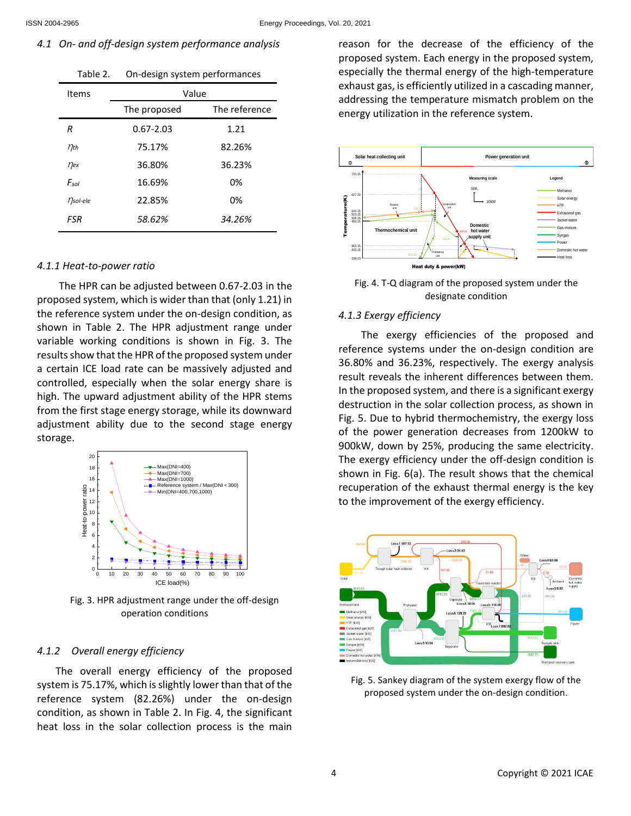# *4.1 On- and off-design system performance analysis*

| Table 2.           | On-design system performances |               |  |
|--------------------|-------------------------------|---------------|--|
| Items              | Value                         |               |  |
|                    | The proposed                  | The reference |  |
| R                  | $0.67 - 2.03$                 | 1.21          |  |
| $\eta_{\text{th}}$ | 75.17%                        | 82.26%        |  |
| $\eta_{ex}$        | 36.80%                        | 36.23%        |  |
| $F_{sol}$          | 16.69%                        | 0%            |  |
| <i>nsol-ele</i>    | 22.85%                        | 0%            |  |
| FSR                | 58.62%                        | 34.26%        |  |

# *4.1.1 Heat-to-power ratio*

The HPR can be adjusted between 0.67-2.03 in the proposed system, which is wider than that (only 1.21) in the reference system under the on-design condition, as shown in Table 2. The HPR adjustment range under variable working conditions is shown in Fig. 3. The results show that the HPR of the proposed system under a certain ICE load rate can be massively adjusted and controlled, especially when the solar energy share is high. The upward adjustment ability of the HPR stems from the first stage energy storage, while its downward adjustment ability due to the second stage energy storage.



Fig. 3. HPR adjustment range under the off-design operation conditions

# *4.1.2 Overall energy efficiency*

The overall energy efficiency of the proposed system is 75.17%, which is slightly lower than that of the reference system (82.26%) under the on-design condition, as shown in Table 2. In Fig. 4, the significant heat loss in the solar collection process is the main reason for the decrease of the efficiency of the proposed system. Each energy in the proposed system, especially the thermal energy of the high-temperature exhaust gas, is efficiently utilized in a cascading manner, addressing the temperature mismatch problem on the energy utilization in the reference system.



Fig. 4. T-Q diagram of the proposed system under the designate condition

# *4.1.3 Exergy efficiency*

The exergy efficiencies of the proposed and reference systems under the on-design condition are 36.80% and 36.23%, respectively. The exergy analysis result reveals the inherent differences between them. In the proposed system, and there is a significant exergy destruction in the solar collection process, as shown in Fig. 5. Due to hybrid thermochemistry, the exergy loss of the power generation decreases from 1200kW to 900kW, down by 25%, producing the same electricity. The exergy efficiency under the off-design condition is shown in Fig. 6(a). The result shows that the chemical recuperation of the exhaust thermal energy is the key to the improvement of the exergy efficiency.



Fig. 5. Sankey diagram of the system exergy flow of the proposed system under the on-design condition.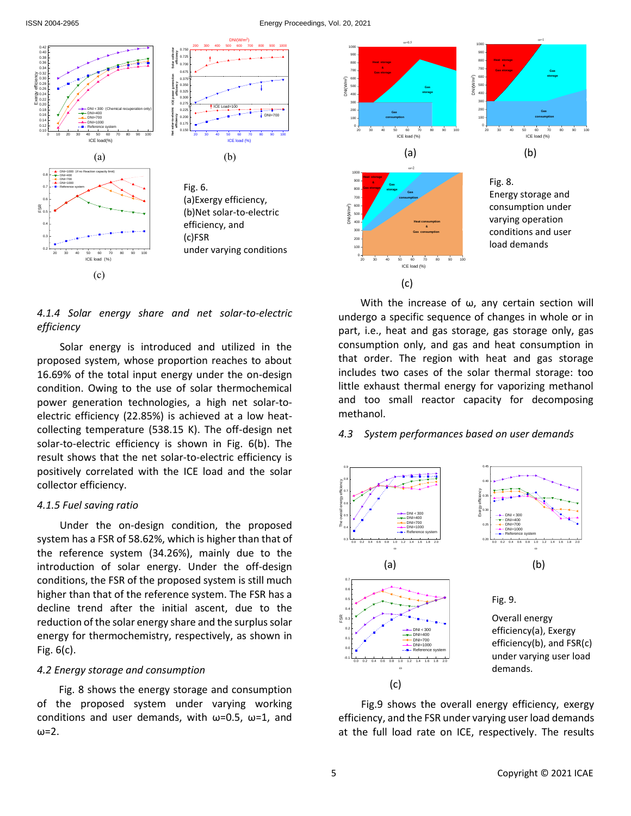#### ISSN 2004-2965 Energy Proceedings, Vol. 20, 2021



*4.1.4 Solar energy share and net solar-to-electric efficiency*

Solar energy is introduced and utilized in the proposed system, whose proportion reaches to about 16.69% of the total input energy under the on-design condition. Owing to the use of solar thermochemical power generation technologies, a high net solar-toelectric efficiency (22.85%) is achieved at a low heatcollecting temperature (538.15 K). The off-design net solar-to-electric efficiency is shown in Fig. 6(b). The result shows that the net solar-to-electric efficiency is positively correlated with the ICE load and the solar collector efficiency.

#### *4.1.5 Fuel saving ratio*

Under the on-design condition, the proposed system has a FSR of 58.62%, which is higher than that of the reference system (34.26%), mainly due to the introduction of solar energy. Under the off-design conditions, the FSR of the proposed system is still much higher than that of the reference system. The FSR has a decline trend after the initial ascent, due to the reduction of the solar energy share and the surplus solar energy for thermochemistry, respectively, as shown in Fig. 6(c).

## *4.2 Energy storage and consumption*

Fig. 8 shows the energy storage and consumption of the proposed system under varying working conditions and user demands, with  $\omega$ =0.5,  $\omega$ =1, and ω=2.

With the increase of ω, any certain section will undergo a specific sequence of changes in whole or in part, i.e., heat and gas storage, gas storage only, gas consumption only, and gas and heat consumption in that order. The region with heat and gas storage includes two cases of the solar thermal storage: too little exhaust thermal energy for vaporizing methanol and too small reactor capacity for decomposing methanol.

### *4.3 System performances based on user demands*



Fig.9 shows the overall energy efficiency, exergy efficiency, and the FSR under varying user load demands at the full load rate on ICE, respectively. The results